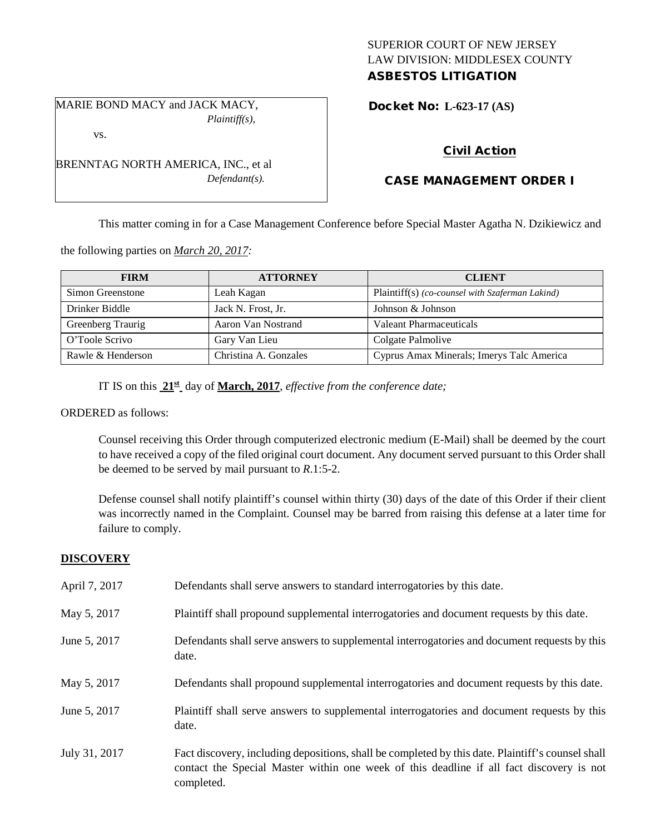# SUPERIOR COURT OF NEW JERSEY LAW DIVISION: MIDDLESEX COUNTY ASBESTOS LITIGATION

MARIE BOND MACY and JACK MACY, *Plaintiff(s),*

BRENNTAG NORTH AMERICA, INC., et al

*Defendant(s).*

vs.

Docket No: **L-623-17 (AS)** 

# Civil Action

# CASE MANAGEMENT ORDER I

This matter coming in for a Case Management Conference before Special Master Agatha N. Dzikiewicz and

the following parties on *March 20, 2017:*

| <b>FIRM</b>       | <b>ATTORNEY</b>       | <b>CLIENT</b>                                   |
|-------------------|-----------------------|-------------------------------------------------|
| Simon Greenstone  | Leah Kagan            | Plaintiff(s) (co-counsel with Szaferman Lakind) |
| Drinker Biddle    | Jack N. Frost, Jr.    | Johnson & Johnson                               |
| Greenberg Traurig | Aaron Van Nostrand    | Valeant Pharmaceuticals                         |
| O'Toole Scrivo    | Gary Van Lieu         | Colgate Palmolive                               |
| Rawle & Henderson | Christina A. Gonzales | Cyprus Amax Minerals; Imerys Talc America       |

IT IS on this **21st** day of **March, 2017**, *effective from the conference date;*

ORDERED as follows:

Counsel receiving this Order through computerized electronic medium (E-Mail) shall be deemed by the court to have received a copy of the filed original court document. Any document served pursuant to this Order shall be deemed to be served by mail pursuant to *R*.1:5-2.

Defense counsel shall notify plaintiff's counsel within thirty (30) days of the date of this Order if their client was incorrectly named in the Complaint. Counsel may be barred from raising this defense at a later time for failure to comply.

# **DISCOVERY**

| April 7, 2017 | Defendants shall serve answers to standard interrogatories by this date.                                                                                                                                    |
|---------------|-------------------------------------------------------------------------------------------------------------------------------------------------------------------------------------------------------------|
| May 5, 2017   | Plaintiff shall propound supplemental interrogatories and document requests by this date.                                                                                                                   |
| June 5, 2017  | Defendants shall serve answers to supplemental interrogatories and document requests by this<br>date.                                                                                                       |
| May 5, 2017   | Defendants shall propound supplemental interrogatories and document requests by this date.                                                                                                                  |
| June 5, 2017  | Plaintiff shall serve answers to supplemental interrogatories and document requests by this<br>date.                                                                                                        |
| July 31, 2017 | Fact discovery, including depositions, shall be completed by this date. Plaintiff's counsel shall<br>contact the Special Master within one week of this deadline if all fact discovery is not<br>completed. |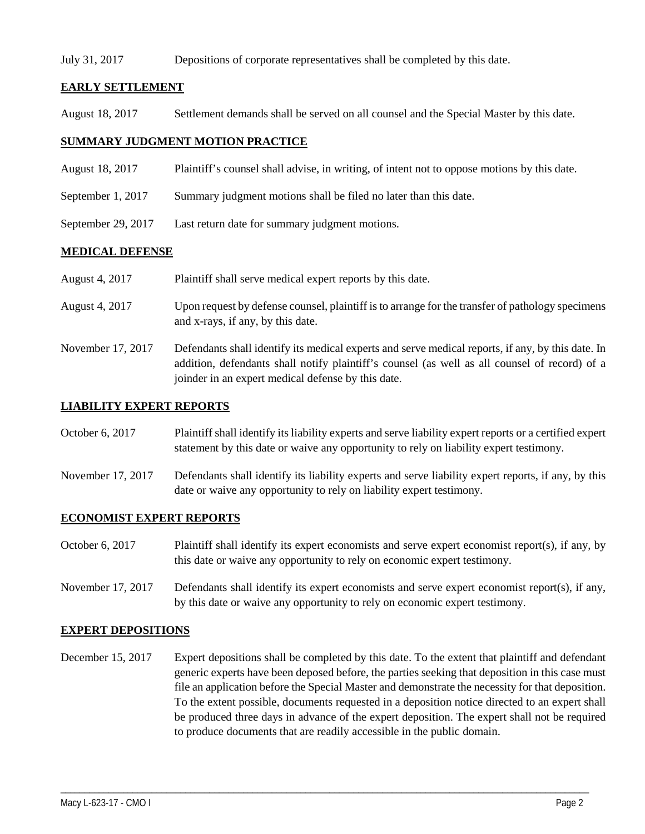#### July 31, 2017 Depositions of corporate representatives shall be completed by this date.

# **EARLY SETTLEMENT**

August 18, 2017 Settlement demands shall be served on all counsel and the Special Master by this date.

### **SUMMARY JUDGMENT MOTION PRACTICE**

- August 18, 2017 Plaintiff's counsel shall advise, in writing, of intent not to oppose motions by this date.
- September 1, 2017 Summary judgment motions shall be filed no later than this date.
- September 29, 2017 Last return date for summary judgment motions.

# **MEDICAL DEFENSE**

- August 4, 2017 Plaintiff shall serve medical expert reports by this date.
- August 4, 2017 Upon request by defense counsel, plaintiff is to arrange for the transfer of pathology specimens and x-rays, if any, by this date.
- November 17, 2017 Defendants shall identify its medical experts and serve medical reports, if any, by this date. In addition, defendants shall notify plaintiff's counsel (as well as all counsel of record) of a joinder in an expert medical defense by this date.

### **LIABILITY EXPERT REPORTS**

October 6, 2017 Plaintiff shall identify its liability experts and serve liability expert reports or a certified expert statement by this date or waive any opportunity to rely on liability expert testimony.

November 17, 2017 Defendants shall identify its liability experts and serve liability expert reports, if any, by this date or waive any opportunity to rely on liability expert testimony.

# **ECONOMIST EXPERT REPORTS**

- October 6, 2017 Plaintiff shall identify its expert economists and serve expert economist report(s), if any, by this date or waive any opportunity to rely on economic expert testimony.
- November 17, 2017 Defendants shall identify its expert economists and serve expert economist report(s), if any, by this date or waive any opportunity to rely on economic expert testimony.

#### **EXPERT DEPOSITIONS**

December 15, 2017 Expert depositions shall be completed by this date. To the extent that plaintiff and defendant generic experts have been deposed before, the parties seeking that deposition in this case must file an application before the Special Master and demonstrate the necessity for that deposition. To the extent possible, documents requested in a deposition notice directed to an expert shall be produced three days in advance of the expert deposition. The expert shall not be required to produce documents that are readily accessible in the public domain.

\_\_\_\_\_\_\_\_\_\_\_\_\_\_\_\_\_\_\_\_\_\_\_\_\_\_\_\_\_\_\_\_\_\_\_\_\_\_\_\_\_\_\_\_\_\_\_\_\_\_\_\_\_\_\_\_\_\_\_\_\_\_\_\_\_\_\_\_\_\_\_\_\_\_\_\_\_\_\_\_\_\_\_\_\_\_\_\_\_\_\_\_\_\_\_\_\_\_\_\_\_\_\_\_\_\_\_\_\_\_